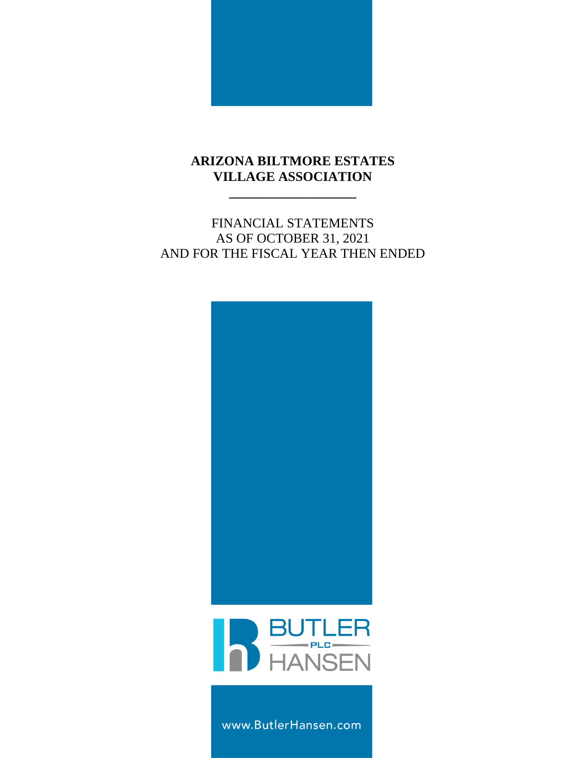# **ARIZONA BILTMORE ESTATES VILLAGE ASSOCIATION**

**\_\_\_\_\_\_\_\_\_\_\_\_\_\_\_\_\_\_\_**

FINANCIAL STATEMENTS AS OF OCTOBER 31, 2021 AND FOR THE FISCAL YEAR THEN ENDED





www.ButlerHansen.com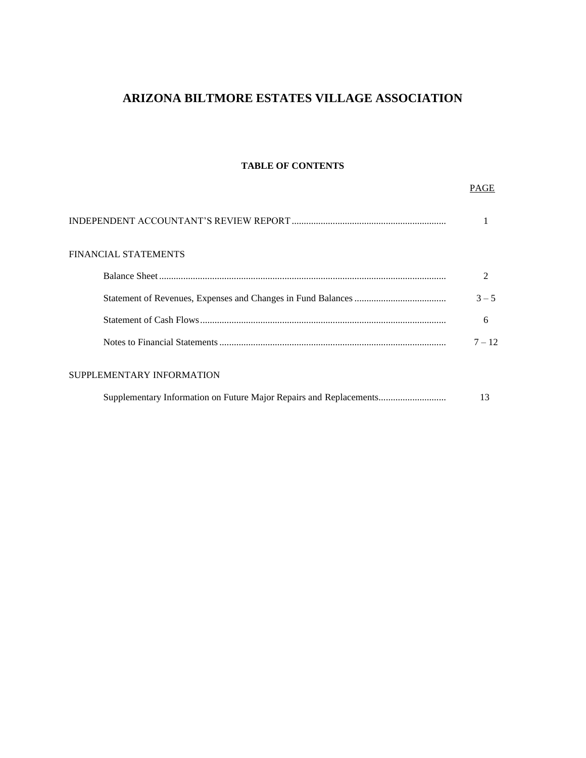# **ARIZONA BILTMORE ESTATES VILLAGE ASSOCIATION**

## **TABLE OF CONTENTS**

PAGE

| FINANCIAL STATEMENTS      |          |
|---------------------------|----------|
|                           | 2        |
|                           | $3 - 5$  |
|                           | 6        |
|                           | $7 - 12$ |
| SUPPLEMENTARY INFORMATION |          |

Supplementary Information on Future Major Repairs and Replacements............................ 13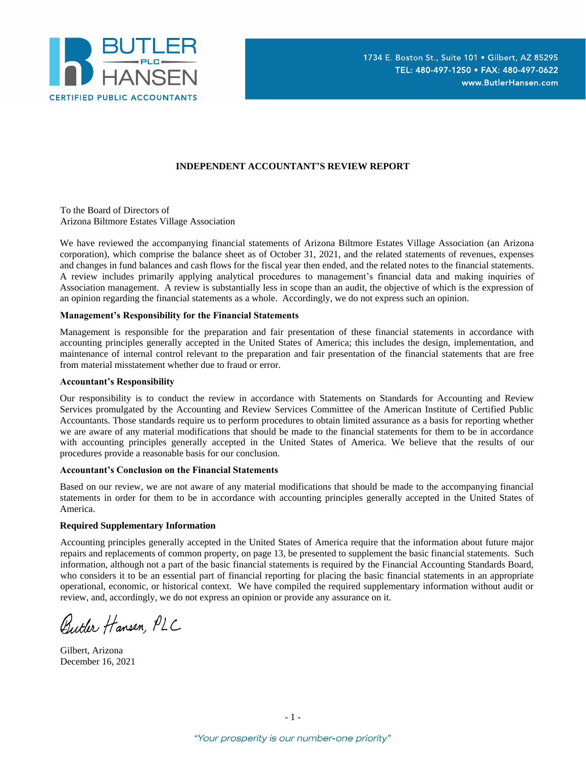

## **INDEPENDENT ACCOUNTANT'S REVIEW REPORT**

To the Board of Directors of Arizona Biltmore Estates Village Association

We have reviewed the accompanying financial statements of Arizona Biltmore Estates Village Association (an Arizona corporation), which comprise the balance sheet as of October 31, 2021, and the related statements of revenues, expenses and changes in fund balances and cash flows for the fiscal year then ended, and the related notes to the financial statements. A review includes primarily applying analytical procedures to management's financial data and making inquiries of Association management. A review is substantially less in scope than an audit, the objective of which is the expression of an opinion regarding the financial statements as a whole. Accordingly, we do not express such an opinion.

#### **Management's Responsibility for the Financial Statements**

Management is responsible for the preparation and fair presentation of these financial statements in accordance with accounting principles generally accepted in the United States of America; this includes the design, implementation, and maintenance of internal control relevant to the preparation and fair presentation of the financial statements that are free from material misstatement whether due to fraud or error.

#### **Accountant's Responsibility**

Our responsibility is to conduct the review in accordance with Statements on Standards for Accounting and Review Services promulgated by the Accounting and Review Services Committee of the American Institute of Certified Public Accountants. Those standards require us to perform procedures to obtain limited assurance as a basis for reporting whether we are aware of any material modifications that should be made to the financial statements for them to be in accordance with accounting principles generally accepted in the United States of America. We believe that the results of our procedures provide a reasonable basis for our conclusion.

#### **Accountant's Conclusion on the Financial Statements**

Based on our review, we are not aware of any material modifications that should be made to the accompanying financial statements in order for them to be in accordance with accounting principles generally accepted in the United States of America.

### **Required Supplementary Information**

Accounting principles generally accepted in the United States of America require that the information about future major repairs and replacements of common property, on page 13, be presented to supplement the basic financial statements. Such information, although not a part of the basic financial statements is required by the Financial Accounting Standards Board, who considers it to be an essential part of financial reporting for placing the basic financial statements in an appropriate operational, economic, or historical context. We have compiled the required supplementary information without audit or review, and, accordingly, we do not express an opinion or provide any assurance on it.

Butter Hansen, PLC

Gilbert, Arizona December 16, 2021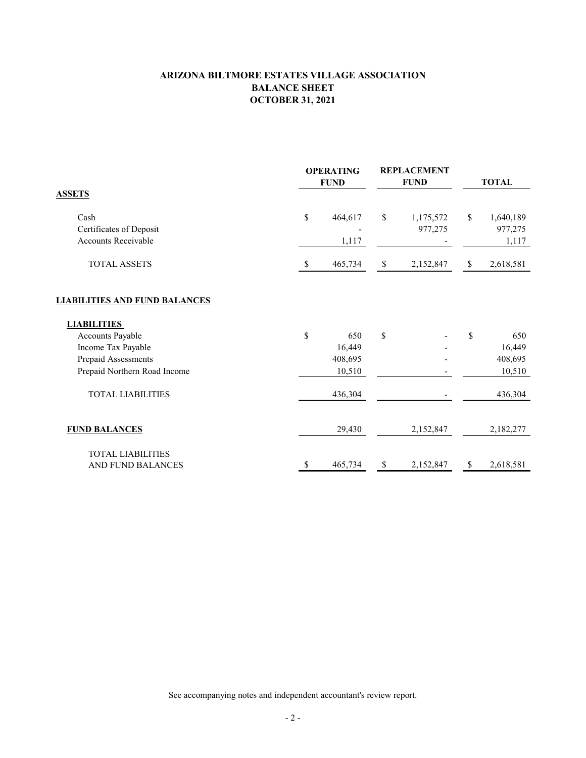## **ARIZONA BILTMORE ESTATES VILLAGE ASSOCIATION BALANCE SHEET OCTOBER 31, 2021**

|                                      |    | <b>OPERATING</b><br><b>FUND</b> | <b>REPLACEMENT</b><br><b>FUND</b> | <b>TOTAL</b>    |
|--------------------------------------|----|---------------------------------|-----------------------------------|-----------------|
| <u>ASSETS</u>                        |    |                                 |                                   |                 |
| Cash                                 | \$ | 464,617                         | \$<br>1,175,572                   | \$<br>1,640,189 |
| Certificates of Deposit              |    |                                 | 977,275                           | 977,275         |
| Accounts Receivable                  |    | 1,117                           |                                   | 1,117           |
| <b>TOTAL ASSETS</b>                  | S  | 465,734                         | \$<br>2,152,847                   | \$<br>2,618,581 |
| <b>LIABILITIES AND FUND BALANCES</b> |    |                                 |                                   |                 |
| <b>LIABILITIES</b>                   |    |                                 |                                   |                 |
| Accounts Payable                     | \$ | 650                             | \$                                | \$<br>650       |
| Income Tax Payable                   |    | 16,449                          |                                   | 16,449          |
| Prepaid Assessments                  |    | 408,695                         |                                   | 408,695         |
| Prepaid Northern Road Income         |    | 10,510                          |                                   | 10,510          |
| <b>TOTAL LIABILITIES</b>             |    | 436,304                         |                                   | 436,304         |
| <b>FUND BALANCES</b>                 |    | 29,430                          | 2,152,847                         | 2,182,277       |
| <b>TOTAL LIABILITIES</b>             |    |                                 |                                   |                 |
| AND FUND BALANCES                    | \$ | 465,734                         | \$<br>2,152,847                   | \$<br>2,618,581 |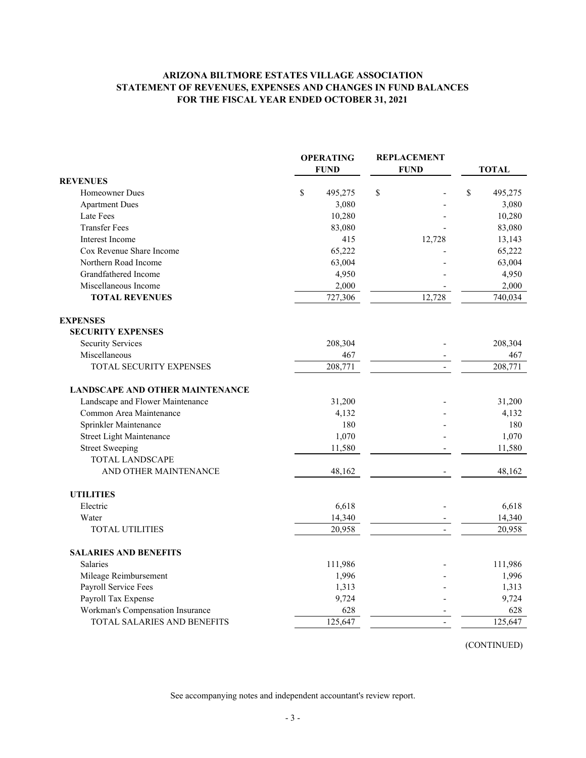## **ARIZONA BILTMORE ESTATES VILLAGE ASSOCIATION STATEMENT OF REVENUES, EXPENSES AND CHANGES IN FUND BALANCES FOR THE FISCAL YEAR ENDED OCTOBER 31, 2021**

|                                        |    | <b>OPERATING</b><br><b>FUND</b> |    | <b>REPLACEMENT</b><br><b>FUND</b> |    | <b>TOTAL</b> |  |
|----------------------------------------|----|---------------------------------|----|-----------------------------------|----|--------------|--|
| <b>REVENUES</b>                        |    |                                 |    |                                   |    |              |  |
| Homeowner Dues                         | \$ | 495,275                         | \$ |                                   | \$ | 495,275      |  |
| <b>Apartment Dues</b>                  |    | 3,080                           |    |                                   |    | 3,080        |  |
| Late Fees                              |    | 10,280                          |    |                                   |    | 10,280       |  |
| <b>Transfer Fees</b>                   |    | 83,080                          |    |                                   |    | 83,080       |  |
| Interest Income                        |    | 415                             |    | 12,728                            |    | 13,143       |  |
| Cox Revenue Share Income               |    | 65,222                          |    |                                   |    | 65,222       |  |
| Northern Road Income                   |    | 63,004                          |    |                                   |    | 63,004       |  |
| Grandfathered Income                   |    | 4,950                           |    |                                   |    | 4,950        |  |
| Miscellaneous Income                   |    | 2,000                           |    |                                   |    | 2,000        |  |
| <b>TOTAL REVENUES</b>                  |    | 727,306                         |    | 12,728                            |    | 740,034      |  |
| <b>EXPENSES</b>                        |    |                                 |    |                                   |    |              |  |
| <b>SECURITY EXPENSES</b>               |    |                                 |    |                                   |    |              |  |
| <b>Security Services</b>               |    | 208,304                         |    |                                   |    | 208,304      |  |
| Miscellaneous                          |    | 467                             |    |                                   |    | 467          |  |
| <b>TOTAL SECURITY EXPENSES</b>         |    | 208,771                         |    |                                   |    | 208,771      |  |
| <b>LANDSCAPE AND OTHER MAINTENANCE</b> |    |                                 |    |                                   |    |              |  |
| Landscape and Flower Maintenance       |    | 31,200                          |    |                                   |    | 31,200       |  |
| Common Area Maintenance                |    | 4,132                           |    |                                   |    | 4,132        |  |
| Sprinkler Maintenance                  |    | 180                             |    |                                   |    | 180          |  |
| <b>Street Light Maintenance</b>        |    | 1,070                           |    |                                   |    | 1,070        |  |
| <b>Street Sweeping</b>                 |    | 11,580                          |    |                                   |    | 11,580       |  |
| <b>TOTAL LANDSCAPE</b>                 |    |                                 |    |                                   |    |              |  |
| AND OTHER MAINTENANCE                  |    | 48,162                          |    |                                   |    | 48,162       |  |
| <b>UTILITIES</b>                       |    |                                 |    |                                   |    |              |  |
| Electric                               |    | 6,618                           |    |                                   |    | 6,618        |  |
| Water                                  |    | 14,340                          |    |                                   |    | 14,340       |  |
| <b>TOTAL UTILITIES</b>                 |    | 20,958                          |    |                                   |    | 20,958       |  |
| <b>SALARIES AND BENEFITS</b>           |    |                                 |    |                                   |    |              |  |
| Salaries                               |    | 111,986                         |    |                                   |    | 111,986      |  |
| Mileage Reimbursement                  |    | 1,996                           |    |                                   |    | 1,996        |  |
| Payroll Service Fees                   |    | 1,313                           |    |                                   |    | 1,313        |  |
| Payroll Tax Expense                    |    | 9,724                           |    |                                   |    | 9,724        |  |
| Workman's Compensation Insurance       |    | 628                             |    |                                   |    | 628          |  |
| <b>TOTAL SALARIES AND BENEFITS</b>     |    | 125,647                         |    | $\overline{\phantom{a}}$          |    | 125,647      |  |
|                                        |    |                                 |    |                                   |    |              |  |

(CONTINUED)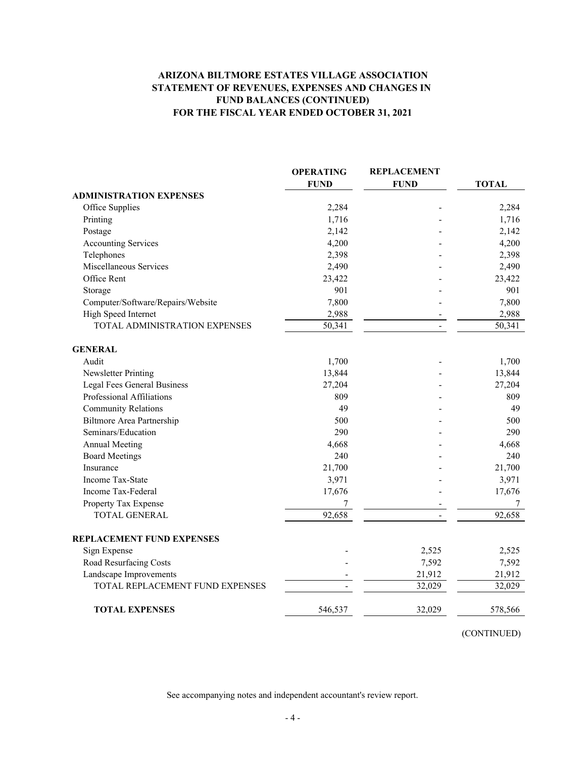## **ARIZONA BILTMORE ESTATES VILLAGE ASSOCIATION STATEMENT OF REVENUES, EXPENSES AND CHANGES IN FUND BALANCES (CONTINUED) FOR THE FISCAL YEAR ENDED OCTOBER 31, 2021**

|                                   | <b>OPERATING</b> | <b>REPLACEMENT</b> |              |
|-----------------------------------|------------------|--------------------|--------------|
|                                   | <b>FUND</b>      | <b>FUND</b>        | <b>TOTAL</b> |
| <b>ADMINISTRATION EXPENSES</b>    |                  |                    |              |
| Office Supplies                   | 2,284            |                    | 2,284        |
| Printing                          | 1,716            |                    | 1,716        |
| Postage                           | 2,142            |                    | 2,142        |
| <b>Accounting Services</b>        | 4,200            |                    | 4,200        |
| Telephones                        | 2,398            |                    | 2,398        |
| Miscellaneous Services            | 2,490            |                    | 2,490        |
| Office Rent                       | 23,422           |                    | 23,422       |
| Storage                           | 901              |                    | 901          |
| Computer/Software/Repairs/Website | 7,800            |                    | 7,800        |
| High Speed Internet               | 2,988            |                    | 2,988        |
| TOTAL ADMINISTRATION EXPENSES     | 50,341           |                    | 50,341       |
| <b>GENERAL</b>                    |                  |                    |              |
| Audit                             | 1,700            |                    | 1,700        |
| Newsletter Printing               | 13,844           |                    | 13,844       |
| Legal Fees General Business       | 27,204           |                    | 27,204       |
| Professional Affiliations         | 809              |                    | 809          |
| <b>Community Relations</b>        | 49               |                    | 49           |
| Biltmore Area Partnership         | 500              |                    | 500          |
| Seminars/Education                | 290              |                    | 290          |
| <b>Annual Meeting</b>             | 4,668            |                    | 4,668        |
| <b>Board Meetings</b>             | 240              |                    | 240          |
| Insurance                         | 21,700           |                    | 21,700       |
| Income Tax-State                  | 3,971            |                    | 3,971        |
| Income Tax-Federal                | 17,676           |                    | 17,676       |
| Property Tax Expense              | 7                |                    | 7            |
| <b>TOTAL GENERAL</b>              | 92,658           |                    | 92,658       |
| <b>REPLACEMENT FUND EXPENSES</b>  |                  |                    |              |
| Sign Expense                      |                  | 2,525              | 2,525        |
| Road Resurfacing Costs            |                  | 7,592              | 7,592        |
| Landscape Improvements            |                  | 21,912             | 21,912       |
| TOTAL REPLACEMENT FUND EXPENSES   |                  | 32,029             | 32,029       |
| <b>TOTAL EXPENSES</b>             | 546,537          | 32,029             | 578,566      |

(CONTINUED)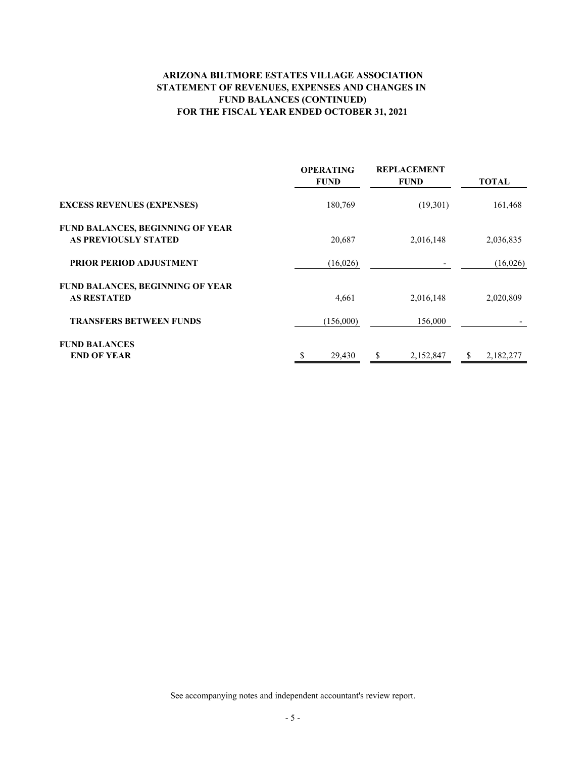## **ARIZONA BILTMORE ESTATES VILLAGE ASSOCIATION STATEMENT OF REVENUES, EXPENSES AND CHANGES IN FUND BALANCES (CONTINUED) FOR THE FISCAL YEAR ENDED OCTOBER 31, 2021**

|                                                                        | <b>OPERATING</b><br><b>FUND</b> | <b>REPLACEMENT</b><br><b>FUND</b> | <b>TOTAL</b>   |
|------------------------------------------------------------------------|---------------------------------|-----------------------------------|----------------|
| <b>EXCESS REVENUES (EXPENSES)</b>                                      | 180,769                         | (19,301)                          | 161,468        |
| <b>FUND BALANCES, BEGINNING OF YEAR</b><br><b>AS PREVIOUSLY STATED</b> | 20,687                          | 2,016,148                         | 2,036,835      |
| <b>PRIOR PERIOD ADJUSTMENT</b>                                         | (16,026)                        |                                   | (16,026)       |
| <b>FUND BALANCES, BEGINNING OF YEAR</b><br><b>AS RESTATED</b>          | 4,661                           | 2,016,148                         | 2,020,809      |
| <b>TRANSFERS BETWEEN FUNDS</b>                                         | (156,000)                       | 156,000                           |                |
| <b>FUND BALANCES</b><br><b>END OF YEAR</b>                             | \$<br>29,430                    | 2,152,847<br>S                    | 2,182,277<br>S |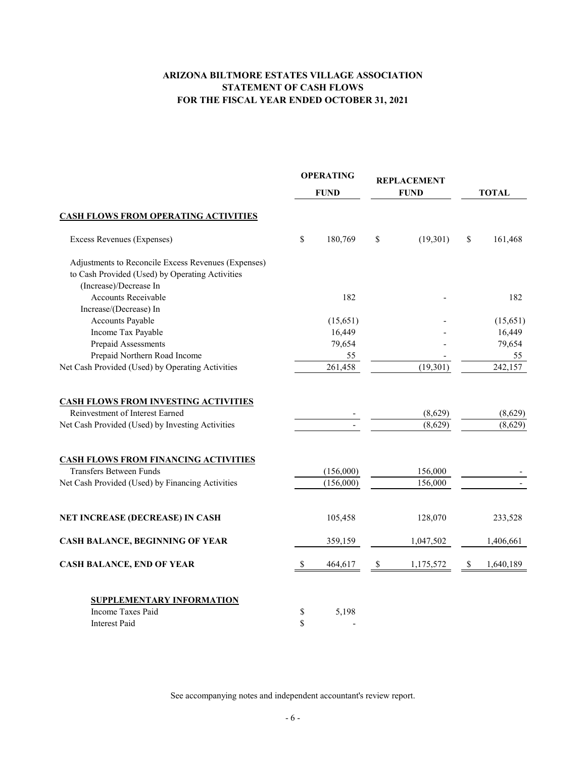## **ARIZONA BILTMORE ESTATES VILLAGE ASSOCIATION STATEMENT OF CASH FLOWS FOR THE FISCAL YEAR ENDED OCTOBER 31, 2021**

|                                                     | <b>OPERATING</b> |             | <b>REPLACEMENT</b><br><b>FUND</b> |           |                 |  |
|-----------------------------------------------------|------------------|-------------|-----------------------------------|-----------|-----------------|--|
|                                                     |                  | <b>FUND</b> |                                   |           | <b>TOTAL</b>    |  |
| <b>CASH FLOWS FROM OPERATING ACTIVITIES</b>         |                  |             |                                   |           |                 |  |
| Excess Revenues (Expenses)                          | \$               | 180,769     | $\mathbb{S}$                      | (19,301)  | \$<br>161,468   |  |
| Adjustments to Reconcile Excess Revenues (Expenses) |                  |             |                                   |           |                 |  |
| to Cash Provided (Used) by Operating Activities     |                  |             |                                   |           |                 |  |
| (Increase)/Decrease In                              |                  |             |                                   |           |                 |  |
| <b>Accounts Receivable</b>                          |                  | 182         |                                   |           | 182             |  |
| Increase/(Decrease) In                              |                  |             |                                   |           |                 |  |
| Accounts Payable                                    |                  | (15,651)    |                                   |           | (15,651)        |  |
| Income Tax Payable                                  |                  | 16,449      |                                   |           | 16,449          |  |
| Prepaid Assessments                                 |                  | 79,654      |                                   |           | 79,654          |  |
| Prepaid Northern Road Income                        |                  | 55          |                                   |           | 55              |  |
| Net Cash Provided (Used) by Operating Activities    |                  | 261,458     |                                   | (19,301)  | 242,157         |  |
|                                                     |                  |             |                                   |           |                 |  |
| <b>CASH FLOWS FROM INVESTING ACTIVITIES</b>         |                  |             |                                   |           |                 |  |
| Reinvestment of Interest Earned                     |                  |             |                                   | (8,629)   | (8,629)         |  |
| Net Cash Provided (Used) by Investing Activities    |                  |             |                                   | (8,629)   | (8,629)         |  |
| <b>CASH FLOWS FROM FINANCING ACTIVITIES</b>         |                  |             |                                   |           |                 |  |
| <b>Transfers Between Funds</b>                      |                  | (156,000)   |                                   | 156,000   |                 |  |
| Net Cash Provided (Used) by Financing Activities    |                  | (156,000)   |                                   | 156,000   |                 |  |
| NET INCREASE (DECREASE) IN CASH                     |                  | 105,458     |                                   | 128,070   | 233,528         |  |
| CASH BALANCE, BEGINNING OF YEAR                     |                  | 359,159     |                                   | 1,047,502 | 1,406,661       |  |
| <b>CASH BALANCE, END OF YEAR</b>                    | \$               | 464,617     | $\mathbb{S}$                      | 1,175,572 | \$<br>1,640,189 |  |
| <b>SUPPLEMENTARY INFORMATION</b>                    |                  |             |                                   |           |                 |  |
| <b>Income Taxes Paid</b>                            | \$               | 5,198       |                                   |           |                 |  |
| <b>Interest Paid</b>                                | \$               |             |                                   |           |                 |  |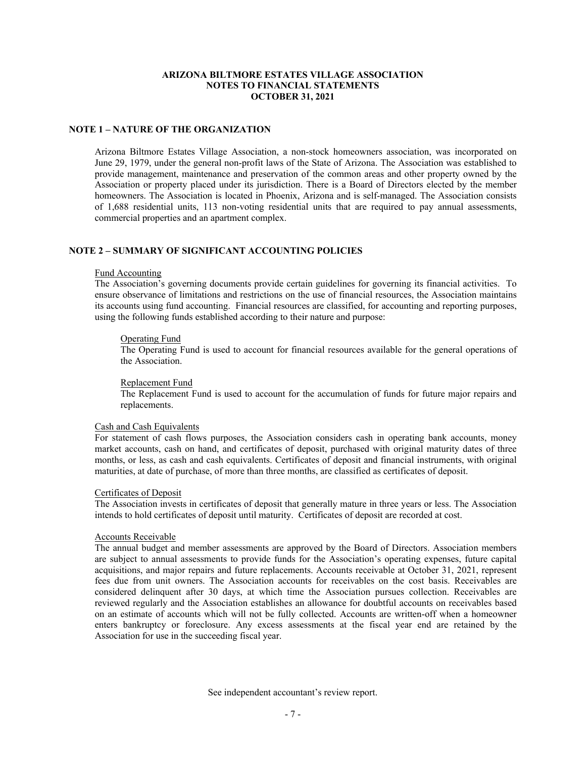## **NOTE 1 – NATURE OF THE ORGANIZATION**

Arizona Biltmore Estates Village Association, a non-stock homeowners association, was incorporated on June 29, 1979, under the general non-profit laws of the State of Arizona. The Association was established to provide management, maintenance and preservation of the common areas and other property owned by the Association or property placed under its jurisdiction. There is a Board of Directors elected by the member homeowners. The Association is located in Phoenix, Arizona and is self-managed. The Association consists of 1,688 residential units, 113 non-voting residential units that are required to pay annual assessments, commercial properties and an apartment complex.

### **NOTE 2 – SUMMARY OF SIGNIFICANT ACCOUNTING POLICIES**

#### Fund Accounting

The Association's governing documents provide certain guidelines for governing its financial activities. To ensure observance of limitations and restrictions on the use of financial resources, the Association maintains its accounts using fund accounting. Financial resources are classified, for accounting and reporting purposes, using the following funds established according to their nature and purpose:

#### Operating Fund

The Operating Fund is used to account for financial resources available for the general operations of the Association.

#### Replacement Fund

The Replacement Fund is used to account for the accumulation of funds for future major repairs and replacements.

#### Cash and Cash Equivalents

For statement of cash flows purposes, the Association considers cash in operating bank accounts, money market accounts, cash on hand, and certificates of deposit, purchased with original maturity dates of three months, or less, as cash and cash equivalents. Certificates of deposit and financial instruments, with original maturities, at date of purchase, of more than three months, are classified as certificates of deposit.

#### Certificates of Deposit

The Association invests in certificates of deposit that generally mature in three years or less. The Association intends to hold certificates of deposit until maturity. Certificates of deposit are recorded at cost.

#### Accounts Receivable

The annual budget and member assessments are approved by the Board of Directors. Association members are subject to annual assessments to provide funds for the Association's operating expenses, future capital acquisitions, and major repairs and future replacements. Accounts receivable at October 31, 2021, represent fees due from unit owners. The Association accounts for receivables on the cost basis. Receivables are considered delinquent after 30 days, at which time the Association pursues collection. Receivables are reviewed regularly and the Association establishes an allowance for doubtful accounts on receivables based on an estimate of accounts which will not be fully collected. Accounts are written-off when a homeowner enters bankruptcy or foreclosure. Any excess assessments at the fiscal year end are retained by the Association for use in the succeeding fiscal year.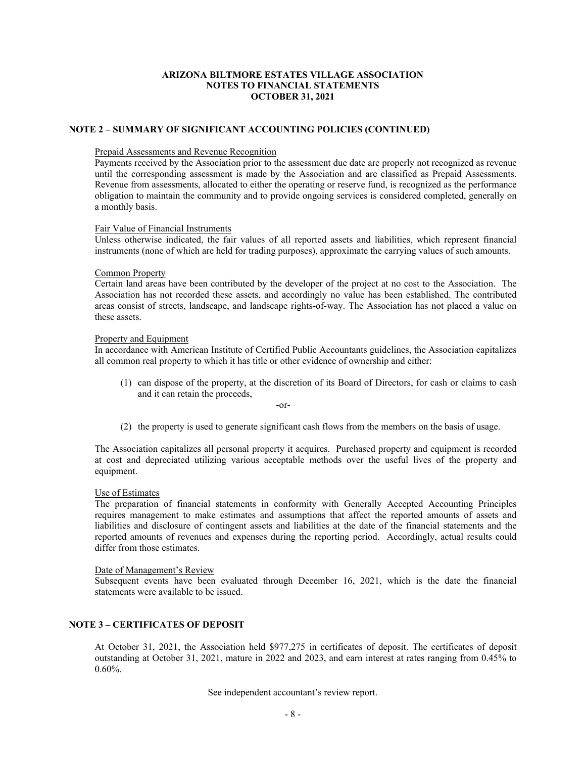## **NOTE 2 – SUMMARY OF SIGNIFICANT ACCOUNTING POLICIES (CONTINUED)**

#### Prepaid Assessments and Revenue Recognition

Payments received by the Association prior to the assessment due date are properly not recognized as revenue until the corresponding assessment is made by the Association and are classified as Prepaid Assessments. Revenue from assessments, allocated to either the operating or reserve fund, is recognized as the performance obligation to maintain the community and to provide ongoing services is considered completed, generally on a monthly basis.

#### Fair Value of Financial Instruments

Unless otherwise indicated, the fair values of all reported assets and liabilities, which represent financial instruments (none of which are held for trading purposes), approximate the carrying values of such amounts.

#### Common Property

Certain land areas have been contributed by the developer of the project at no cost to the Association. The Association has not recorded these assets, and accordingly no value has been established. The contributed areas consist of streets, landscape, and landscape rights-of-way. The Association has not placed a value on these assets.

#### Property and Equipment

In accordance with American Institute of Certified Public Accountants guidelines, the Association capitalizes all common real property to which it has title or other evidence of ownership and either:

(1) can dispose of the property, at the discretion of its Board of Directors, for cash or claims to cash and it can retain the proceeds,

-or-

(2) the property is used to generate significant cash flows from the members on the basis of usage.

The Association capitalizes all personal property it acquires. Purchased property and equipment is recorded at cost and depreciated utilizing various acceptable methods over the useful lives of the property and equipment.

#### Use of Estimates

The preparation of financial statements in conformity with Generally Accepted Accounting Principles requires management to make estimates and assumptions that affect the reported amounts of assets and liabilities and disclosure of contingent assets and liabilities at the date of the financial statements and the reported amounts of revenues and expenses during the reporting period. Accordingly, actual results could differ from those estimates.

#### Date of Management's Review

Subsequent events have been evaluated through December 16, 2021, which is the date the financial statements were available to be issued.

#### **NOTE 3 – CERTIFICATES OF DEPOSIT**

At October 31, 2021, the Association held \$977,275 in certificates of deposit. The certificates of deposit outstanding at October 31, 2021, mature in 2022 and 2023, and earn interest at rates ranging from 0.45% to  $0.60\%$ .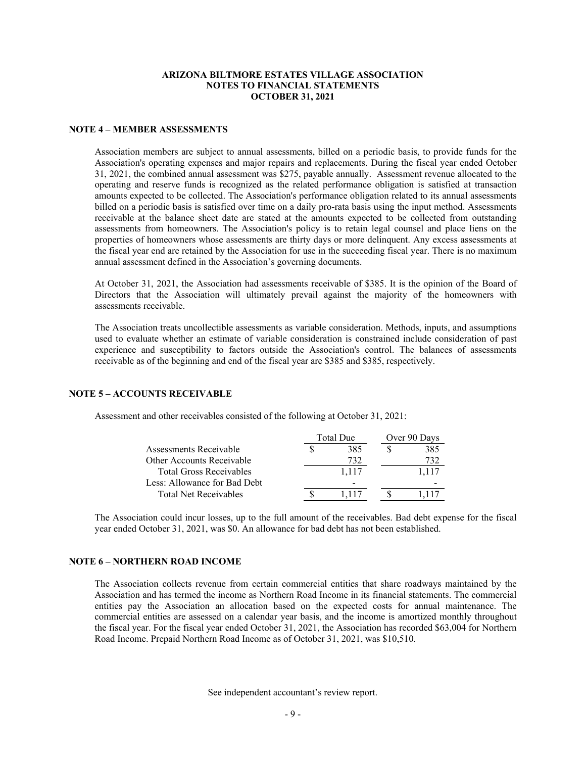#### **NOTE 4 – MEMBER ASSESSMENTS**

Association members are subject to annual assessments, billed on a periodic basis, to provide funds for the Association's operating expenses and major repairs and replacements. During the fiscal year ended October 31, 2021, the combined annual assessment was \$275, payable annually. Assessment revenue allocated to the operating and reserve funds is recognized as the related performance obligation is satisfied at transaction amounts expected to be collected. The Association's performance obligation related to its annual assessments billed on a periodic basis is satisfied over time on a daily pro-rata basis using the input method. Assessments receivable at the balance sheet date are stated at the amounts expected to be collected from outstanding assessments from homeowners. The Association's policy is to retain legal counsel and place liens on the properties of homeowners whose assessments are thirty days or more delinquent. Any excess assessments at the fiscal year end are retained by the Association for use in the succeeding fiscal year. There is no maximum annual assessment defined in the Association's governing documents.

At October 31, 2021, the Association had assessments receivable of \$385. It is the opinion of the Board of Directors that the Association will ultimately prevail against the majority of the homeowners with assessments receivable.

The Association treats uncollectible assessments as variable consideration. Methods, inputs, and assumptions used to evaluate whether an estimate of variable consideration is constrained include consideration of past experience and susceptibility to factors outside the Association's control. The balances of assessments receivable as of the beginning and end of the fiscal year are \$385 and \$385, respectively.

### **NOTE 5 – ACCOUNTS RECEIVABLE**

Assessment and other receivables consisted of the following at October 31, 2021:

|                                | Total Due | Over 90 Days |  |  |
|--------------------------------|-----------|--------------|--|--|
| Assessments Receivable         | 385       | 385          |  |  |
| Other Accounts Receivable      | 732       | 732          |  |  |
| <b>Total Gross Receivables</b> | 1.117     | 1.117        |  |  |
| Less: Allowance for Bad Debt   | -         |              |  |  |
| <b>Total Net Receivables</b>   |           |              |  |  |

The Association could incur losses, up to the full amount of the receivables. Bad debt expense for the fiscal year ended October 31, 2021, was \$0. An allowance for bad debt has not been established.

### **NOTE 6 – NORTHERN ROAD INCOME**

The Association collects revenue from certain commercial entities that share roadways maintained by the Association and has termed the income as Northern Road Income in its financial statements. The commercial entities pay the Association an allocation based on the expected costs for annual maintenance. The commercial entities are assessed on a calendar year basis, and the income is amortized monthly throughout the fiscal year. For the fiscal year ended October 31, 2021, the Association has recorded \$63,004 for Northern Road Income. Prepaid Northern Road Income as of October 31, 2021, was \$10,510.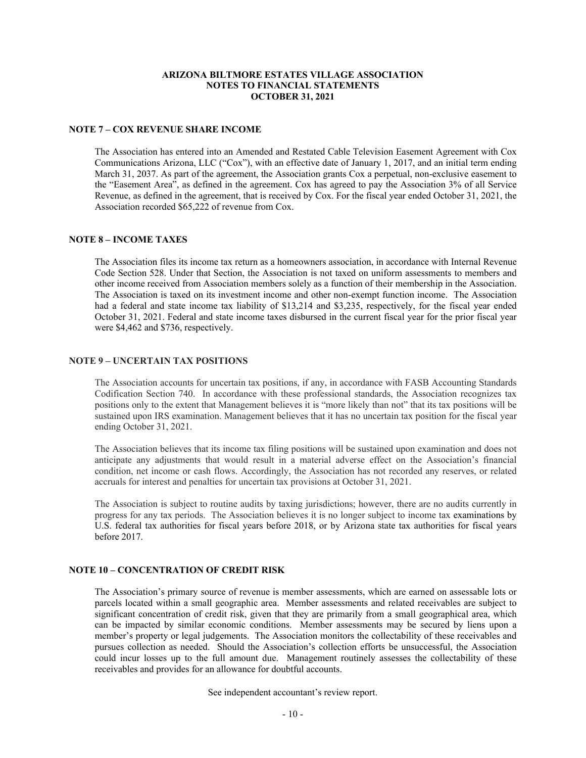#### **NOTE 7 – COX REVENUE SHARE INCOME**

The Association has entered into an Amended and Restated Cable Television Easement Agreement with Cox Communications Arizona, LLC ("Cox"), with an effective date of January 1, 2017, and an initial term ending March 31, 2037. As part of the agreement, the Association grants Cox a perpetual, non-exclusive easement to the "Easement Area", as defined in the agreement. Cox has agreed to pay the Association 3% of all Service Revenue, as defined in the agreement, that is received by Cox. For the fiscal year ended October 31, 2021, the Association recorded \$65,222 of revenue from Cox.

#### **NOTE 8 – INCOME TAXES**

The Association files its income tax return as a homeowners association, in accordance with Internal Revenue Code Section 528. Under that Section, the Association is not taxed on uniform assessments to members and other income received from Association members solely as a function of their membership in the Association. The Association is taxed on its investment income and other non-exempt function income. The Association had a federal and state income tax liability of \$13,214 and \$3,235, respectively, for the fiscal year ended October 31, 2021. Federal and state income taxes disbursed in the current fiscal year for the prior fiscal year were \$4,462 and \$736, respectively.

## **NOTE 9 – UNCERTAIN TAX POSITIONS**

The Association accounts for uncertain tax positions, if any, in accordance with FASB Accounting Standards Codification Section 740. In accordance with these professional standards, the Association recognizes tax positions only to the extent that Management believes it is "more likely than not" that its tax positions will be sustained upon IRS examination. Management believes that it has no uncertain tax position for the fiscal year ending October 31, 2021.

The Association believes that its income tax filing positions will be sustained upon examination and does not anticipate any adjustments that would result in a material adverse effect on the Association's financial condition, net income or cash flows. Accordingly, the Association has not recorded any reserves, or related accruals for interest and penalties for uncertain tax provisions at October 31, 2021.

The Association is subject to routine audits by taxing jurisdictions; however, there are no audits currently in progress for any tax periods. The Association believes it is no longer subject to income tax examinations by U.S. federal tax authorities for fiscal years before 2018, or by Arizona state tax authorities for fiscal years before 2017.

#### **NOTE 10 – CONCENTRATION OF CREDIT RISK**

The Association's primary source of revenue is member assessments, which are earned on assessable lots or parcels located within a small geographic area. Member assessments and related receivables are subject to significant concentration of credit risk, given that they are primarily from a small geographical area, which can be impacted by similar economic conditions. Member assessments may be secured by liens upon a member's property or legal judgements. The Association monitors the collectability of these receivables and pursues collection as needed. Should the Association's collection efforts be unsuccessful, the Association could incur losses up to the full amount due. Management routinely assesses the collectability of these receivables and provides for an allowance for doubtful accounts.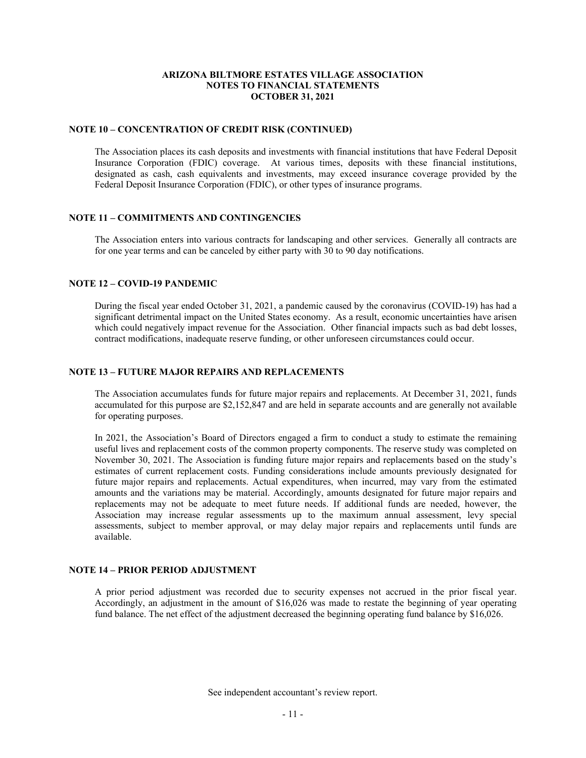#### **NOTE 10 – CONCENTRATION OF CREDIT RISK (CONTINUED)**

The Association places its cash deposits and investments with financial institutions that have Federal Deposit Insurance Corporation (FDIC) coverage. At various times, deposits with these financial institutions, designated as cash, cash equivalents and investments, may exceed insurance coverage provided by the Federal Deposit Insurance Corporation (FDIC), or other types of insurance programs.

#### **NOTE 11 – COMMITMENTS AND CONTINGENCIES**

The Association enters into various contracts for landscaping and other services. Generally all contracts are for one year terms and can be canceled by either party with 30 to 90 day notifications.

## **NOTE 12 – COVID-19 PANDEMIC**

During the fiscal year ended October 31, 2021, a pandemic caused by the coronavirus (COVID-19) has had a significant detrimental impact on the United States economy. As a result, economic uncertainties have arisen which could negatively impact revenue for the Association. Other financial impacts such as bad debt losses, contract modifications, inadequate reserve funding, or other unforeseen circumstances could occur.

#### **NOTE 13 – FUTURE MAJOR REPAIRS AND REPLACEMENTS**

The Association accumulates funds for future major repairs and replacements. At December 31, 2021, funds accumulated for this purpose are \$2,152,847 and are held in separate accounts and are generally not available for operating purposes.

In 2021, the Association's Board of Directors engaged a firm to conduct a study to estimate the remaining useful lives and replacement costs of the common property components. The reserve study was completed on November 30, 2021. The Association is funding future major repairs and replacements based on the study's estimates of current replacement costs. Funding considerations include amounts previously designated for future major repairs and replacements. Actual expenditures, when incurred, may vary from the estimated amounts and the variations may be material. Accordingly, amounts designated for future major repairs and replacements may not be adequate to meet future needs. If additional funds are needed, however, the Association may increase regular assessments up to the maximum annual assessment, levy special assessments, subject to member approval, or may delay major repairs and replacements until funds are available.

## **NOTE 14 – PRIOR PERIOD ADJUSTMENT**

A prior period adjustment was recorded due to security expenses not accrued in the prior fiscal year. Accordingly, an adjustment in the amount of \$16,026 was made to restate the beginning of year operating fund balance. The net effect of the adjustment decreased the beginning operating fund balance by \$16,026.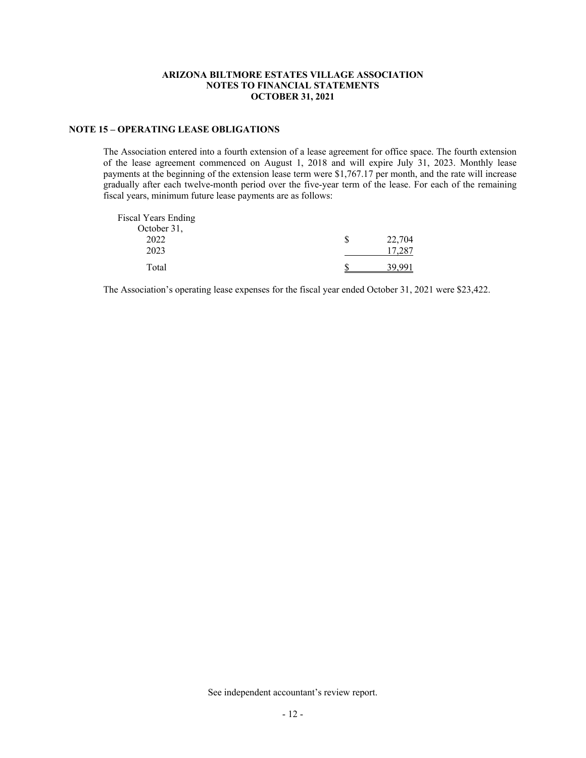### **NOTE 15 – OPERATING LEASE OBLIGATIONS**

The Association entered into a fourth extension of a lease agreement for office space. The fourth extension of the lease agreement commenced on August 1, 2018 and will expire July 31, 2023. Monthly lease payments at the beginning of the extension lease term were \$1,767.17 per month, and the rate will increase gradually after each twelve-month period over the five-year term of the lease. For each of the remaining fiscal years, minimum future lease payments are as follows:

| <b>Fiscal Years Ending</b> |   |        |
|----------------------------|---|--------|
| October 31,                |   |        |
| 2022                       | S | 22,704 |
| 2023                       |   |        |
| Total                      |   |        |

The Association's operating lease expenses for the fiscal year ended October 31, 2021 were \$23,422.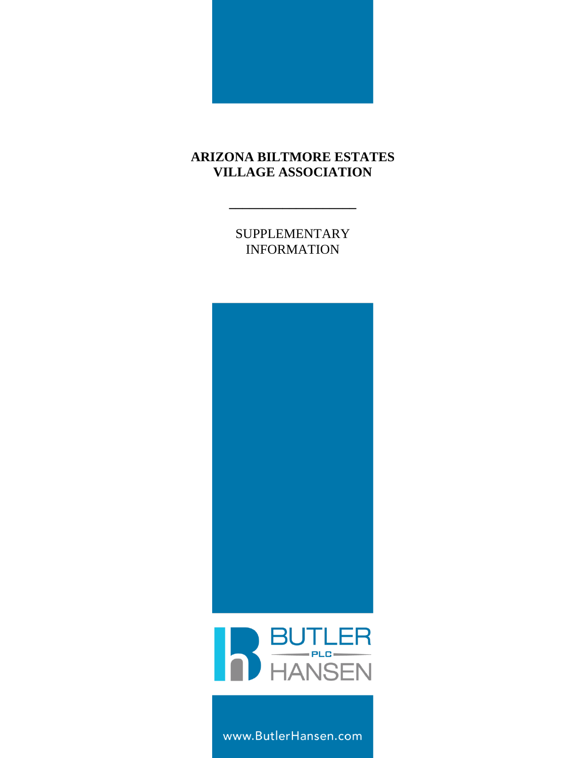# **ARIZONA BILTMORE ESTATES VILLAGE ASSOCIATION**

SUPPLEMENTARY INFORMATION

**\_\_\_\_\_\_\_\_\_\_\_\_\_\_\_\_\_\_\_**





www.ButlerHansen.com